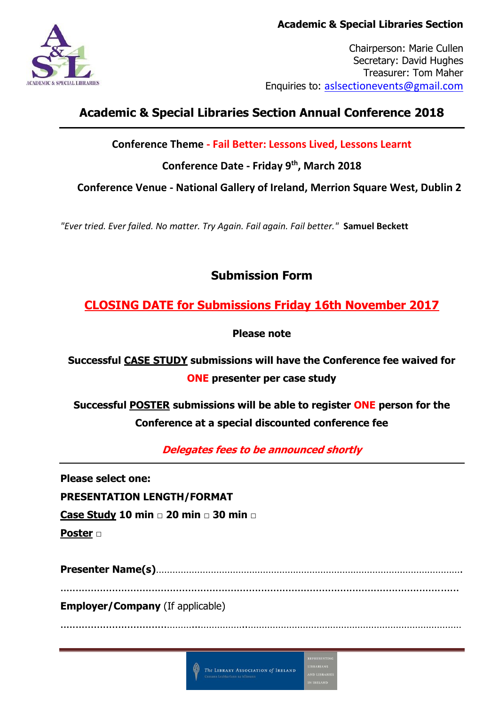

Chairperson: Marie Cullen Secretary: David Hughes Treasurer: Tom Maher Enquiries to: [aslsectionevents@gmail.com](mailto:aslsectionevents@gmail.com)

# **Academic & Special Libraries Section Annual Conference 2018**

**Conference Theme - Fail Better: Lessons Lived, Lessons Learnt**

**Conference Date - Friday 9th, March 2018**

**Conference Venue - National Gallery of Ireland, Merrion Square West, Dublin 2**

*"Ever tried. Ever failed. No matter. Try Again. Fail again. Fail better."* **Samuel Beckett**

## **Submission Form**

**CLOSING DATE for Submissions Friday 16th November 2017**

**Please note**

**Successful CASE STUDY submissions will have the Conference fee waived for ONE presenter per case study**

**Successful POSTER submissions will be able to register ONE person for the Conference at a special discounted conference fee**

**Delegates fees to be announced shortly**

**Please select one:**

**PRESENTATION LENGTH/FORMAT**

**Case Study 10 min □ 20 min □ 30 min □**

**Poster □**

**Presenter Name(s)**…………………………………………………………………………………………………. ...................................................................................................................................

...................................………...……………..……………………………………………………………………

**Employer/Company** (If applicable)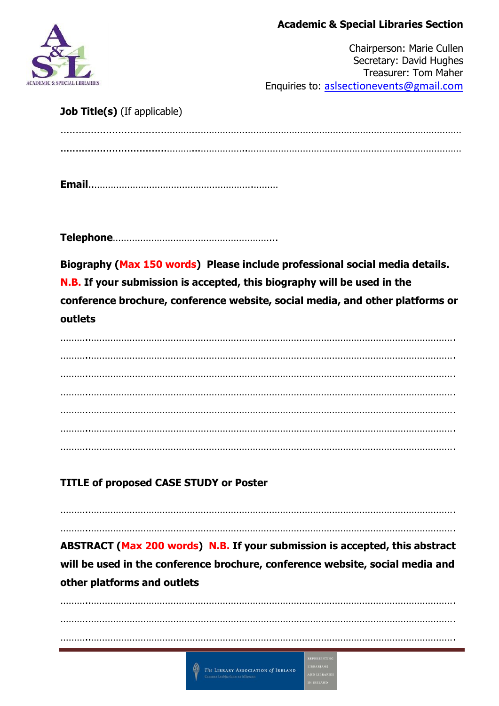#### **Academic & Special Libraries Section**



Chairperson: Marie Cullen Secretary: David Hughes Treasurer: Tom Maher Enquiries to: [aslsectionevents@gmail.com](mailto:aslsectionevents@gmail.com)

#### **Job Title(s)** (If applicable)

**Email**..………………………………………………….………

**Telephone**…………………………………………………...

**Biography (Max 150 words) Please include professional social media details. N.B. If your submission is accepted, this biography will be used in the conference brochure, conference website, social media, and other platforms or outlets**

………..……………………………………………………………………………………………………………………. ………..……………………………………………………………………………………………………………………. ………..……………………………………………………………………………………………………………………. ………..……………………………………………………………………………………………………………………. ………..……………………………………………………………………………………………………………………. ………..……………………………………………………………………………………………………………………. ………..…………………………………………………………………………………………………………………….

## **TITLE of proposed CASE STUDY or Poster**

………..……………………………………………………………………………………………………………………. **ABSTRACT (Max 200 words) N.B. If your submission is accepted, this abstract will be used in the conference brochure, conference website, social media and other platforms and outlets**

………..…………………………………………………………………………………………………………………….

………..……………………………………………………………………………………………………………………. ………..……………………………………………………………………………………………………………………. ………..…………………………………………………………………………………………………………………….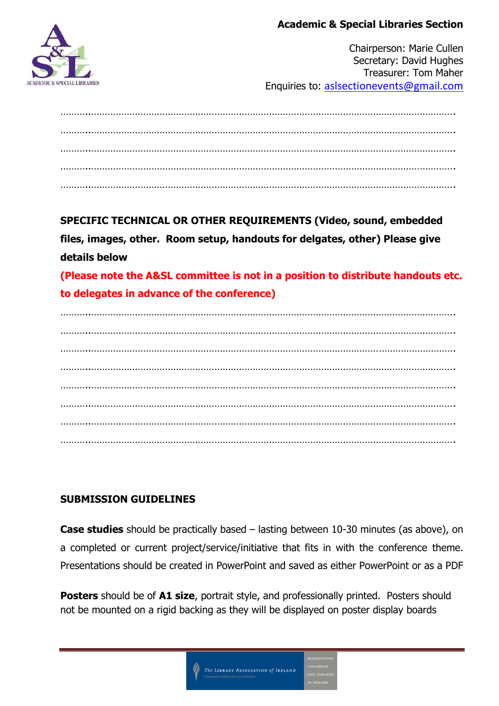#### **Academic & Special Libraries Section**



Chairperson: Marie Cullen Secretary: David Hughes Treasurer: Tom Maher Enquiries to: [aslsectionevents@gmail.com](mailto:aslsectionevents@gmail.com)

………..……………………………………………………………………………………………………………………. ………..……………………………………………………………………………………………………………………. ………..……………………………………………………………………………………………………………………. ………..……………………………………………………………………………………………………………………. ………..…………………………………………………………………………………………………………………….

**SPECIFIC TECHNICAL OR OTHER REQUIREMENTS (Video, sound, embedded files, images, other. Room setup, handouts for delgates, other) Please give details below**

**(Please note the A&SL committee is not in a position to distribute handouts etc. to delegates in advance of the conference)**

………..……………………………………………………………………………………………………………………. ………..……………………………………………………………………………………………………………………. ………..……………………………………………………………………………………………………………………. ………..……………………………………………………………………………………………………………………. ………..……………………………………………………………………………………………………………………. ………..……………………………………………………………………………………………………………………. ………..……………………………………………………………………………………………………………………. ………..…………………………………………………………………………………………………………………….

### **SUBMISSION GUIDELINES**

**Case studies** should be practically based – lasting between 10-30 minutes (as above), on a completed or current project/service/initiative that fits in with the conference theme. Presentations should be created in PowerPoint and saved as either PowerPoint or as a PDF

**Posters** should be of **A1 size**, portrait style, and professionally printed. Posters should not be mounted on a rigid backing as they will be displayed on poster display boards